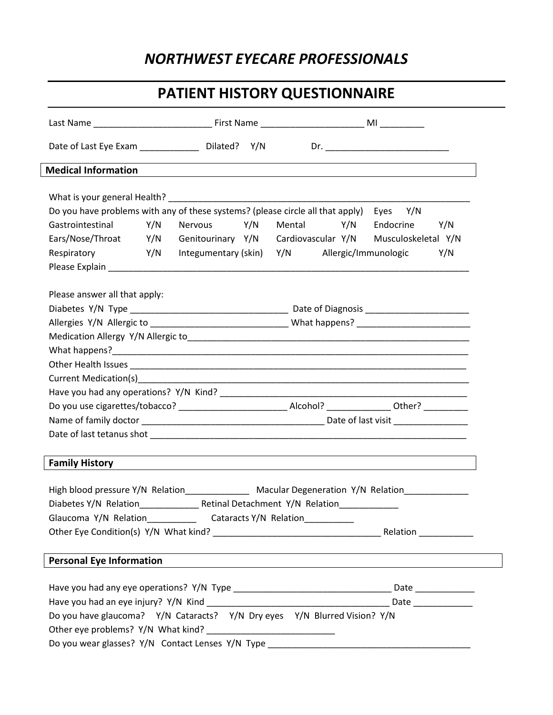## *NORTHWEST EYECARE PROFESSIONALS*

# **PATIENT HISTORY QUESTIONNAIRE**

|                                                                                                                                                        | Date of Last Eye Exam ______________________ Dilated? Y/N |                                                                                                                                              |  |  |            |               |     |  |
|--------------------------------------------------------------------------------------------------------------------------------------------------------|-----------------------------------------------------------|----------------------------------------------------------------------------------------------------------------------------------------------|--|--|------------|---------------|-----|--|
| <b>Medical Information</b>                                                                                                                             |                                                           | and the control of the control of the control of the control of the control of the control of the control of the                             |  |  |            |               |     |  |
|                                                                                                                                                        |                                                           |                                                                                                                                              |  |  |            |               |     |  |
|                                                                                                                                                        |                                                           |                                                                                                                                              |  |  |            |               |     |  |
| Do you have problems with any of these systems? (please circle all that apply)                                                                         |                                                           |                                                                                                                                              |  |  |            | Eyes Y/N      |     |  |
| Gastrointestinal Y/N                                                                                                                                   |                                                           | Nervous Y/N                                                                                                                                  |  |  | Mental Y/N | Endocrine Y/N |     |  |
| Ears/Nose/Throat Y/N Genitourinary Y/N Cardiovascular Y/N Musculoskeletal Y/N                                                                          |                                                           |                                                                                                                                              |  |  |            |               |     |  |
| Respiratory                                                                                                                                            |                                                           | Y/N Integumentary (skin) Y/N Allergic/Immunologic                                                                                            |  |  |            |               | Y/N |  |
|                                                                                                                                                        |                                                           |                                                                                                                                              |  |  |            |               |     |  |
| Please answer all that apply:                                                                                                                          |                                                           |                                                                                                                                              |  |  |            |               |     |  |
|                                                                                                                                                        |                                                           |                                                                                                                                              |  |  |            |               |     |  |
| Allergies Y/N Allergic to __________________________________What happens? __________________________                                                   |                                                           |                                                                                                                                              |  |  |            |               |     |  |
|                                                                                                                                                        |                                                           |                                                                                                                                              |  |  |            |               |     |  |
|                                                                                                                                                        |                                                           |                                                                                                                                              |  |  |            |               |     |  |
|                                                                                                                                                        |                                                           |                                                                                                                                              |  |  |            |               |     |  |
|                                                                                                                                                        |                                                           |                                                                                                                                              |  |  |            |               |     |  |
|                                                                                                                                                        |                                                           |                                                                                                                                              |  |  |            |               |     |  |
|                                                                                                                                                        |                                                           |                                                                                                                                              |  |  |            |               |     |  |
|                                                                                                                                                        |                                                           |                                                                                                                                              |  |  |            |               |     |  |
|                                                                                                                                                        |                                                           |                                                                                                                                              |  |  |            |               |     |  |
|                                                                                                                                                        |                                                           |                                                                                                                                              |  |  |            |               |     |  |
| <b>Family History</b>                                                                                                                                  |                                                           | ,我们也不会有一个人的人,我们也不会有一个人的人,我们也不会有一个人的人。""我们,我们也不会有一个人的人,我们也不会有一个人的人,我们也不会有一个人的人,我们<br><u> 1989 - John Stoff, amerikansk politiker (* 1989)</u> |  |  |            |               |     |  |
|                                                                                                                                                        |                                                           |                                                                                                                                              |  |  |            |               |     |  |
| High blood pressure Y/N Relation______________ Macular Degeneration Y/N Relation_____________<br>Diabetes Y/N Relation Retinal Detachment Y/N Relation |                                                           |                                                                                                                                              |  |  |            |               |     |  |
|                                                                                                                                                        |                                                           |                                                                                                                                              |  |  |            |               |     |  |
| Glaucoma Y/N Relation______________________Cataracts Y/N Relation_______________                                                                       |                                                           |                                                                                                                                              |  |  |            |               |     |  |
|                                                                                                                                                        |                                                           |                                                                                                                                              |  |  |            |               |     |  |
|                                                                                                                                                        |                                                           |                                                                                                                                              |  |  |            |               |     |  |
| <b>Personal Eye Information</b>                                                                                                                        |                                                           |                                                                                                                                              |  |  |            |               |     |  |
|                                                                                                                                                        |                                                           |                                                                                                                                              |  |  |            |               |     |  |
|                                                                                                                                                        |                                                           |                                                                                                                                              |  |  |            |               |     |  |
| Do you have glaucoma? Y/N Cataracts? Y/N Dry eyes Y/N Blurred Vision? Y/N                                                                              |                                                           |                                                                                                                                              |  |  |            |               |     |  |
|                                                                                                                                                        |                                                           |                                                                                                                                              |  |  |            |               |     |  |
| Do you wear glasses? Y/N Contact Lenses Y/N Type _______________________________                                                                       |                                                           |                                                                                                                                              |  |  |            |               |     |  |